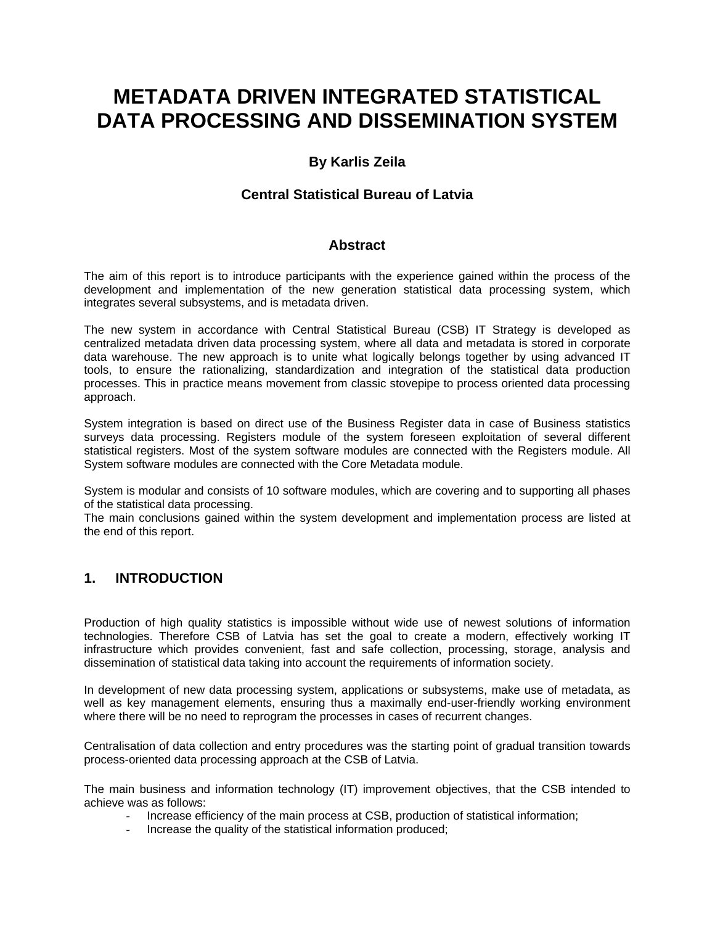# **METADATA DRIVEN INTEGRATED STATISTICAL DATA PROCESSING AND DISSEMINATION SYSTEM**

# **By Karlis Zeila**

## **Central Statistical Bureau of Latvia**

## **Abstract**

The aim of this report is to introduce participants with the experience gained within the process of the development and implementation of the new generation statistical data processing system, which integrates several subsystems, and is metadata driven.

The new system in accordance with Central Statistical Bureau (CSB) IT Strategy is developed as centralized metadata driven data processing system, where all data and metadata is stored in corporate data warehouse. The new approach is to unite what logically belongs together by using advanced IT tools, to ensure the rationalizing, standardization and integration of the statistical data production processes. This in practice means movement from classic stovepipe to process oriented data processing approach.

System integration is based on direct use of the Business Register data in case of Business statistics surveys data processing. Registers module of the system foreseen exploitation of several different statistical registers. Most of the system software modules are connected with the Registers module. All System software modules are connected with the Core Metadata module.

System is modular and consists of 10 software modules, which are covering and to supporting all phases of the statistical data processing.

The main conclusions gained within the system development and implementation process are listed at the end of this report.

## **1. INTRODUCTION**

Production of high quality statistics is impossible without wide use of newest solutions of information technologies. Therefore CSB of Latvia has set the goal to create a modern, effectively working IT infrastructure which provides convenient, fast and safe collection, processing, storage, analysis and dissemination of statistical data taking into account the requirements of information society.

In development of new data processing system, applications or subsystems, make use of metadata, as well as key management elements, ensuring thus a maximally end-user-friendly working environment where there will be no need to reprogram the processes in cases of recurrent changes.

Centralisation of data collection and entry procedures was the starting point of gradual transition towards process-oriented data processing approach at the CSB of Latvia.

The main business and information technology (IT) improvement objectives, that the CSB intended to achieve was as follows:

- Increase efficiency of the main process at CSB, production of statistical information;
- Increase the quality of the statistical information produced;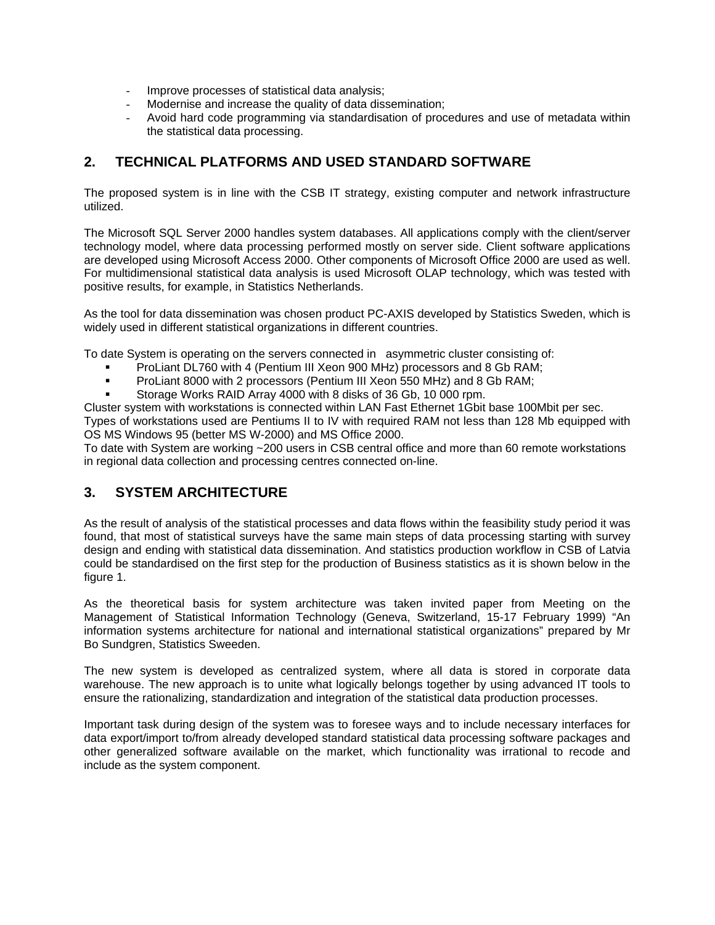- Improve processes of statistical data analysis;
- Modernise and increase the quality of data dissemination;
- Avoid hard code programming via standardisation of procedures and use of metadata within the statistical data processing.

# **2. TECHNICAL PLATFORMS AND USED STANDARD SOFTWARE**

The proposed system is in line with the CSB IT strategy, existing computer and network infrastructure utilized.

The Microsoft SQL Server 2000 handles system databases. All applications comply with the client/server technology model, where data processing performed mostly on server side. Client software applications are developed using Microsoft Access 2000. Other components of Microsoft Office 2000 are used as well. For multidimensional statistical data analysis is used Microsoft OLAP technology, which was tested with positive results, for example, in Statistics Netherlands.

As the tool for data dissemination was chosen product PC-AXIS developed by Statistics Sweden, which is widely used in different statistical organizations in different countries.

To date System is operating on the servers connected in asymmetric cluster consisting of:

- ProLiant DL760 with 4 (Pentium III Xeon 900 MHz) processors and 8 Gb RAM;
- **ProLiant 8000 with 2 processors (Pentium III Xeon 550 MHz) and 8 Gb RAM;**
- Storage Works RAID Array 4000 with 8 disks of 36 Gb, 10 000 rpm.

Cluster system with workstations is connected within LAN Fast Ethernet 1Gbit base 100Mbit per sec.

Types of workstations used are Pentiums II to IV with required RAM not less than 128 Mb equipped with OS MS Windows 95 (better MS W-2000) and MS Office 2000.

To date with System are working ~200 users in CSB central office and more than 60 remote workstations in regional data collection and processing centres connected on-line.

## **3. SYSTEM ARCHITECTURE**

As the result of analysis of the statistical processes and data flows within the feasibility study period it was found, that most of statistical surveys have the same main steps of data processing starting with survey design and ending with statistical data dissemination. And statistics production workflow in CSB of Latvia could be standardised on the first step for the production of Business statistics as it is shown below in the figure 1.

As the theoretical basis for system architecture was taken invited paper from Meeting on the Management of Statistical Information Technology (Geneva, Switzerland, 15-17 February 1999) "An information systems architecture for national and international statistical organizations" prepared by Mr Bo Sundgren, Statistics Sweeden.

The new system is developed as centralized system, where all data is stored in corporate data warehouse. The new approach is to unite what logically belongs together by using advanced IT tools to ensure the rationalizing, standardization and integration of the statistical data production processes.

Important task during design of the system was to foresee ways and to include necessary interfaces for data export/import to/from already developed standard statistical data processing software packages and other generalized software available on the market, which functionality was irrational to recode and include as the system component.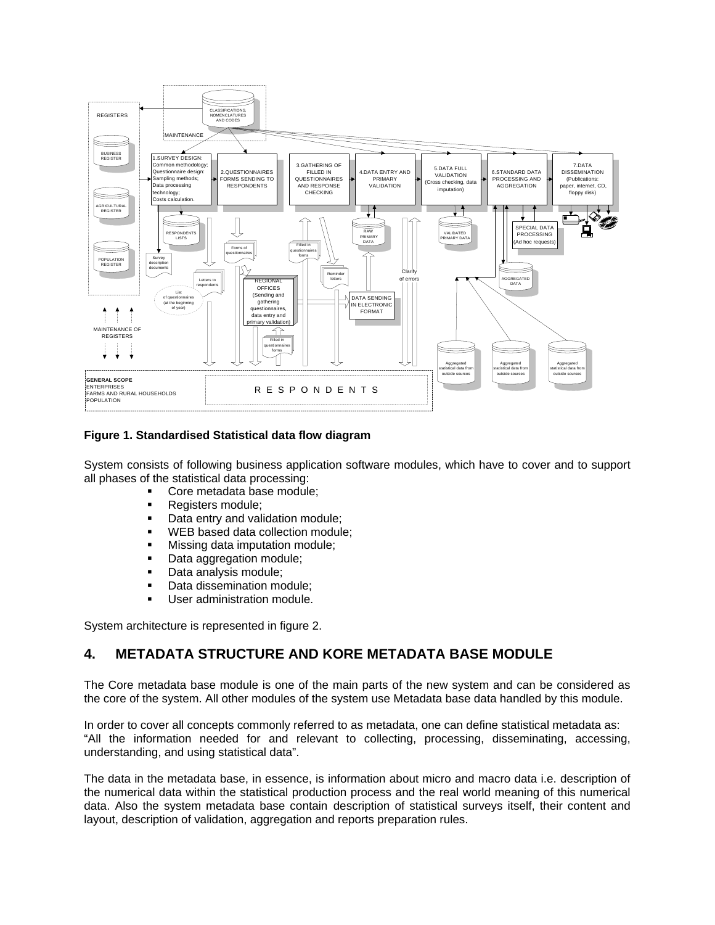

#### **Figure 1. Standardised Statistical data flow diagram**

System consists of following business application software modules, which have to cover and to support all phases of the statistical data processing:

- Core metadata base module;
- **Registers module;**
- **•** Data entry and validation module;
- **WEB based data collection module;**
- **Missing data imputation module;**
- **Data aggregation module;**
- Data analysis module;
- **Data dissemination module;**
- **User administration module.**

System architecture is represented in figure 2.

## **4. METADATA STRUCTURE AND KORE METADATA BASE MODULE**

The Core metadata base module is one of the main parts of the new system and can be considered as the core of the system. All other modules of the system use Metadata base data handled by this module.

In order to cover all concepts commonly referred to as metadata, one can define statistical metadata as: "All the information needed for and relevant to collecting, processing, disseminating, accessing, understanding, and using statistical data".

The data in the metadata base, in essence, is information about micro and macro data i.e. description of the numerical data within the statistical production process and the real world meaning of this numerical data. Also the system metadata base contain description of statistical surveys itself, their content and layout, description of validation, aggregation and reports preparation rules.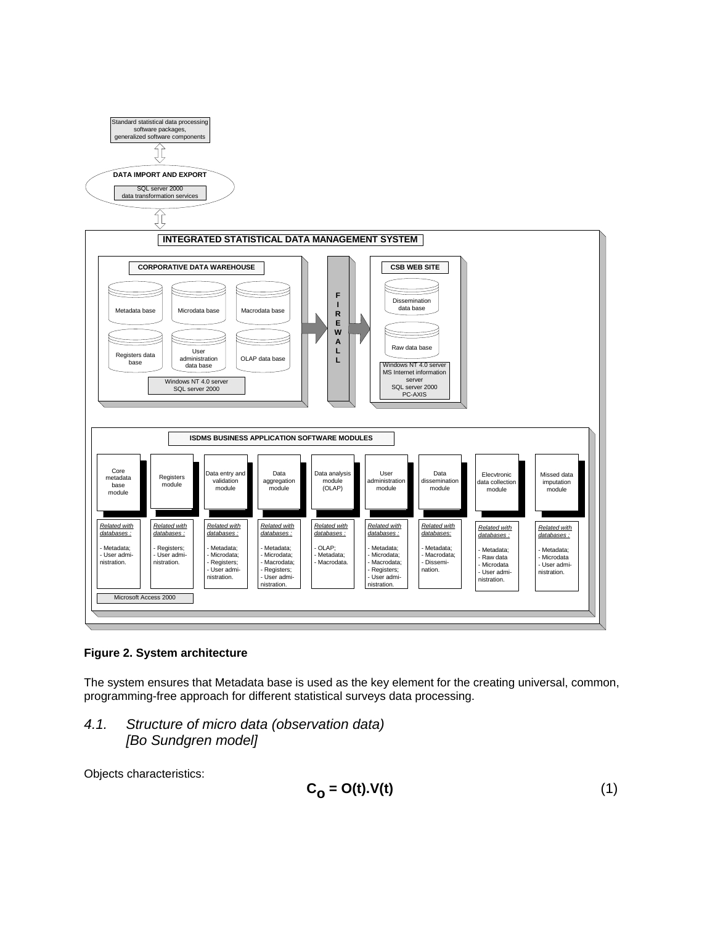

**Figure 2. System architecture** 

The system ensures that Metadata base is used as the key element for the creating universal, common, programming-free approach for different statistical surveys data processing.

*4.1. Structure of micro data (observation data) [Bo Sundgren model]* 

Objects characteristics:

$$
C_{\mathbf{O}} = \mathbf{O}(t).V(t) \tag{1}
$$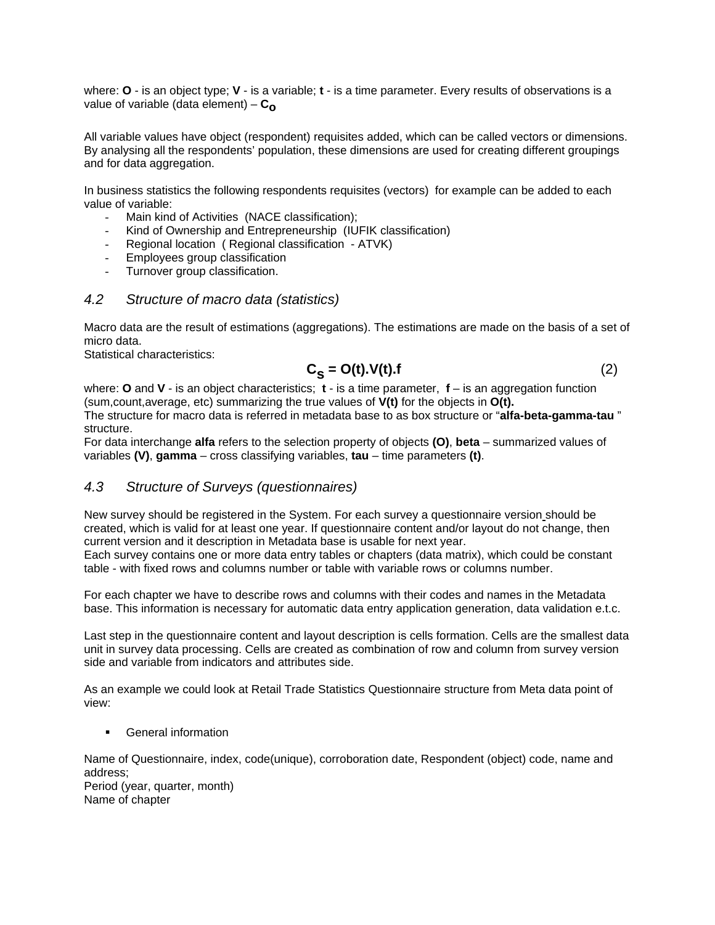where: **O** - is an object type; **V** - is a variable; **t** - is a time parameter. Every results of observations is a value of variable (data element) – **Co** 

All variable values have object (respondent) requisites added, which can be called vectors or dimensions. By analysing all the respondents' population, these dimensions are used for creating different groupings and for data aggregation.

In business statistics the following respondents requisites (vectors) for example can be added to each value of variable:

- Main kind of Activities (NACE classification);
- Kind of Ownership and Entrepreneurship (IUFIK classification)
- Regional location ( Regional classification ATVK)
- Employees group classification
- Turnover group classification.

#### *4.2 Structure of macro data (statistics)*

Macro data are the result of estimations (aggregations). The estimations are made on the basis of a set of micro data.

Statistical characteristics:

$$
C_{\mathbf{S}} = O(t).V(t).f
$$
 (2)

where: **O** and **V** - is an object characteristics; **t** - is a time parameter, **f** – is an aggregation function (sum,count,average, etc) summarizing the true values of **V(t)** for the objects in **O(t).** 

The structure for macro data is referred in metadata base to as box structure or "**alfa-beta-gamma-tau** " structure.

For data interchange **alfa** refers to the selection property of objects **(O)**, **beta** – summarized values of variables **(V)**, **gamma** – cross classifying variables, **tau** – time parameters **(t)**.

## *4.3 Structure of Surveys (questionnaires)*

New survey should be registered in the System. For each survey a questionnaire version should be created, which is valid for at least one year. If questionnaire content and/or layout do not change, then current version and it description in Metadata base is usable for next year.

Each survey contains one or more data entry tables or chapters (data matrix), which could be constant table - with fixed rows and columns number or table with variable rows or columns number.

For each chapter we have to describe rows and columns with their codes and names in the Metadata base. This information is necessary for automatic data entry application generation, data validation e.t.c.

Last step in the questionnaire content and layout description is cells formation. Cells are the smallest data unit in survey data processing. Cells are created as combination of row and column from survey version side and variable from indicators and attributes side.

As an example we could look at Retail Trade Statistics Questionnaire structure from Meta data point of view:

**General information** 

Name of Questionnaire, index, code(unique), corroboration date, Respondent (object) code, name and address; Period (year, quarter, month)

Name of chapter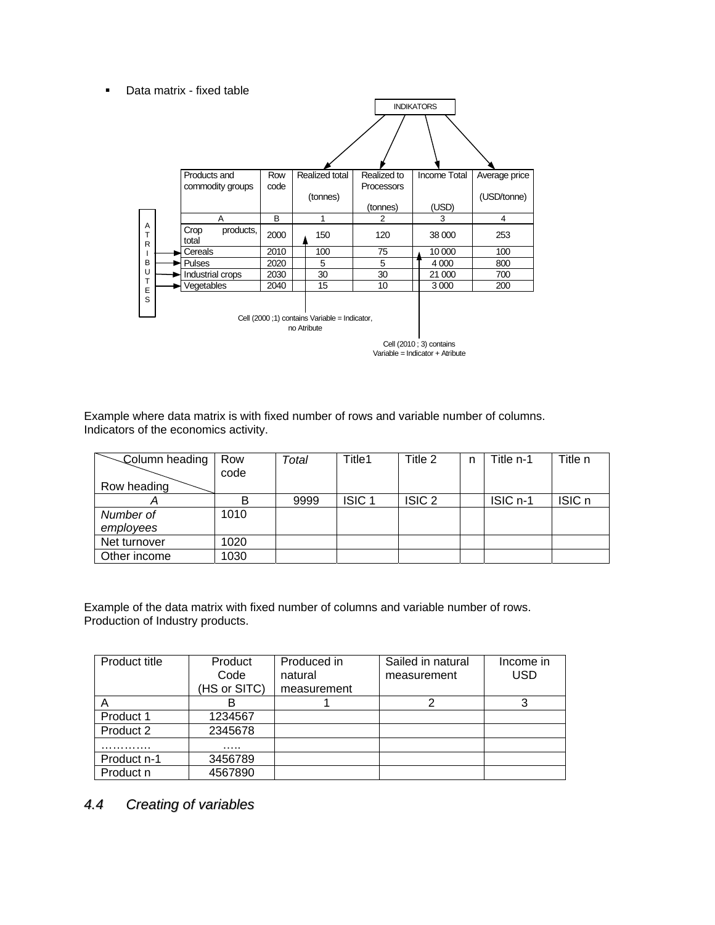• Data matrix - fixed table



Example where data matrix is with fixed number of rows and variable number of columns. Indicators of the economics activity.

| Column heading | Row<br>code | Total | Title1       | Title 2           | n | Title n-1 | Title n |
|----------------|-------------|-------|--------------|-------------------|---|-----------|---------|
| Row heading    |             |       |              |                   |   |           |         |
|                | в           | 9999  | <b>ISIC1</b> | ISIC <sub>2</sub> |   | ISIC n-1  | ISIC n  |
| Number of      | 1010        |       |              |                   |   |           |         |
| employees      |             |       |              |                   |   |           |         |
| Net turnover   | 1020        |       |              |                   |   |           |         |
| Other income   | 1030        |       |              |                   |   |           |         |

Example of the data matrix with fixed number of columns and variable number of rows. Production of Industry products.

| Product title | Product<br>Code<br>(HS or SITC) | Produced in<br>natural<br>measurement | Sailed in natural<br>measurement | Income in<br><b>USD</b> |
|---------------|---------------------------------|---------------------------------------|----------------------------------|-------------------------|
| А             |                                 |                                       |                                  |                         |
| Product 1     | 1234567                         |                                       |                                  |                         |
| Product 2     | 2345678                         |                                       |                                  |                         |
| .             | .                               |                                       |                                  |                         |
| Product n-1   | 3456789                         |                                       |                                  |                         |
| Product n     | 4567890                         |                                       |                                  |                         |

# *4.4 Creating of variables*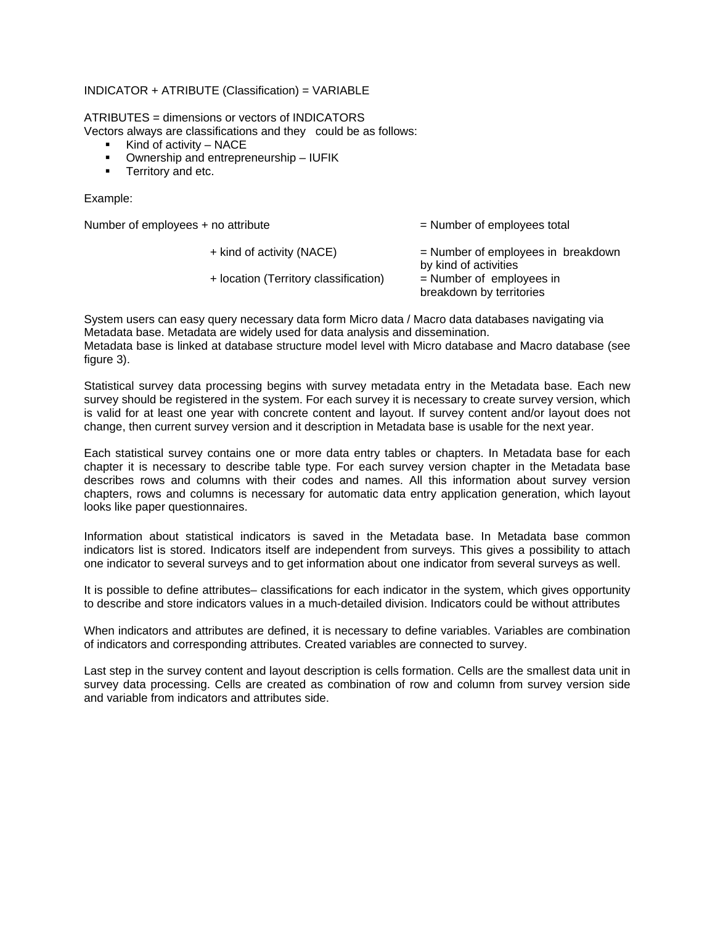#### INDICATOR + ATRIBUTE (Classification) = VARIABLE

ATRIBUTES = dimensions or vectors of INDICATORS

- Vectors always are classifications and they could be as follows:
	- Kind of activity NACE
	- Ownership and entrepreneurship IUFIK
	- **Territory and etc.**

#### Example:

| Number of employees + no attribute |                                       | $=$ Number of employees total                                 |
|------------------------------------|---------------------------------------|---------------------------------------------------------------|
|                                    | + kind of activity (NACE)             | $=$ Number of employees in breakdown<br>by kind of activities |
|                                    | + location (Territory classification) | $=$ Number of employees in<br>breakdown by territories        |

System users can easy query necessary data form Micro data / Macro data databases navigating via Metadata base. Metadata are widely used for data analysis and dissemination. Metadata base is linked at database structure model level with Micro database and Macro database (see figure 3).

Statistical survey data processing begins with survey metadata entry in the Metadata base. Each new survey should be registered in the system. For each survey it is necessary to create survey version, which is valid for at least one year with concrete content and layout. If survey content and/or layout does not change, then current survey version and it description in Metadata base is usable for the next year.

Each statistical survey contains one or more data entry tables or chapters. In Metadata base for each chapter it is necessary to describe table type. For each survey version chapter in the Metadata base describes rows and columns with their codes and names. All this information about survey version chapters, rows and columns is necessary for automatic data entry application generation, which layout looks like paper questionnaires.

Information about statistical indicators is saved in the Metadata base. In Metadata base common indicators list is stored. Indicators itself are independent from surveys. This gives a possibility to attach one indicator to several surveys and to get information about one indicator from several surveys as well.

It is possible to define attributes– classifications for each indicator in the system, which gives opportunity to describe and store indicators values in a much-detailed division. Indicators could be without attributes

When indicators and attributes are defined, it is necessary to define variables. Variables are combination of indicators and corresponding attributes. Created variables are connected to survey.

Last step in the survey content and layout description is cells formation. Cells are the smallest data unit in survey data processing. Cells are created as combination of row and column from survey version side and variable from indicators and attributes side.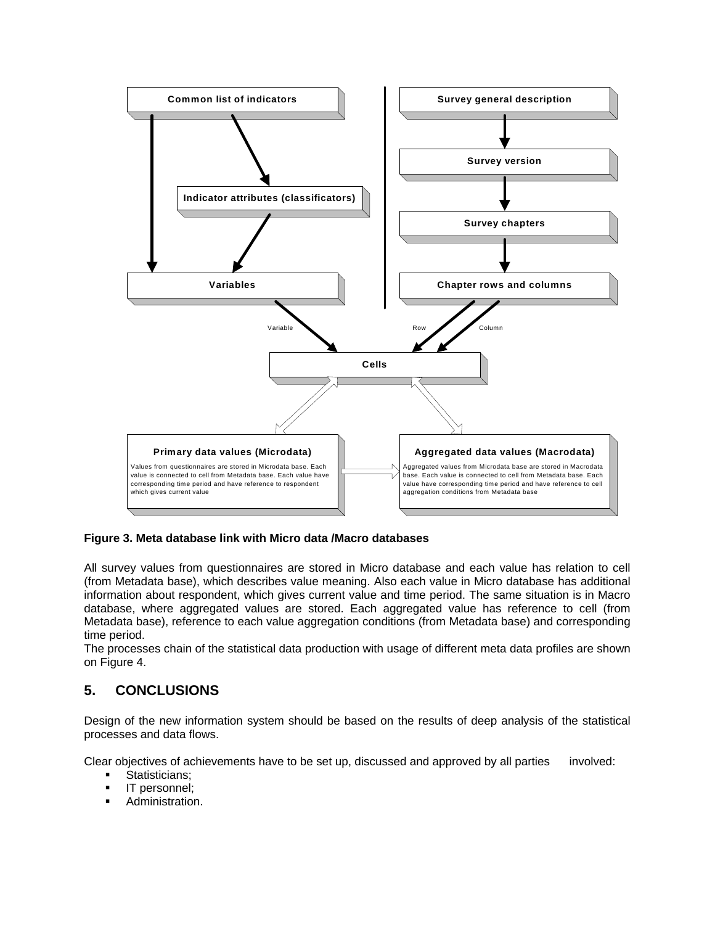

#### **Figure 3. Meta database link with Micro data /Macro databases**

All survey values from questionnaires are stored in Micro database and each value has relation to cell (from Metadata base), which describes value meaning. Also each value in Micro database has additional information about respondent, which gives current value and time period. The same situation is in Macro database, where aggregated values are stored. Each aggregated value has reference to cell (from Metadata base), reference to each value aggregation conditions (from Metadata base) and corresponding time period.

The processes chain of the statistical data production with usage of different meta data profiles are shown on Figure 4.

## **5. CONCLUSIONS**

Design of the new information system should be based on the results of deep analysis of the statistical processes and data flows.

Clear objectives of achievements have to be set up, discussed and approved by all parties involved:

- Statisticians:
- **IT** personnel;
- Administration.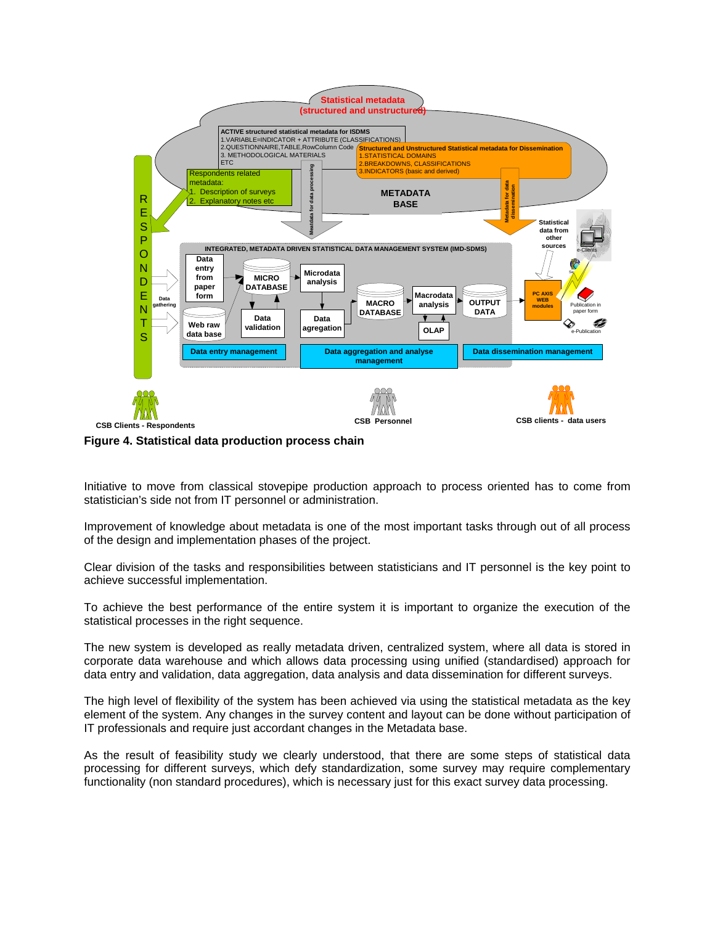

**Figure 4. Statistical data production process chain**

Initiative to move from classical stovepipe production approach to process oriented has to come from statistician's side not from IT personnel or administration.

Improvement of knowledge about metadata is one of the most important tasks through out of all process of the design and implementation phases of the project.

Clear division of the tasks and responsibilities between statisticians and IT personnel is the key point to achieve successful implementation.

To achieve the best performance of the entire system it is important to organize the execution of the statistical processes in the right sequence.

The new system is developed as really metadata driven, centralized system, where all data is stored in corporate data warehouse and which allows data processing using unified (standardised) approach for data entry and validation, data aggregation, data analysis and data dissemination for different surveys.

The high level of flexibility of the system has been achieved via using the statistical metadata as the key element of the system. Any changes in the survey content and layout can be done without participation of IT professionals and require just accordant changes in the Metadata base.

As the result of feasibility study we clearly understood, that there are some steps of statistical data processing for different surveys, which defy standardization, some survey may require complementary functionality (non standard procedures), which is necessary just for this exact survey data processing.